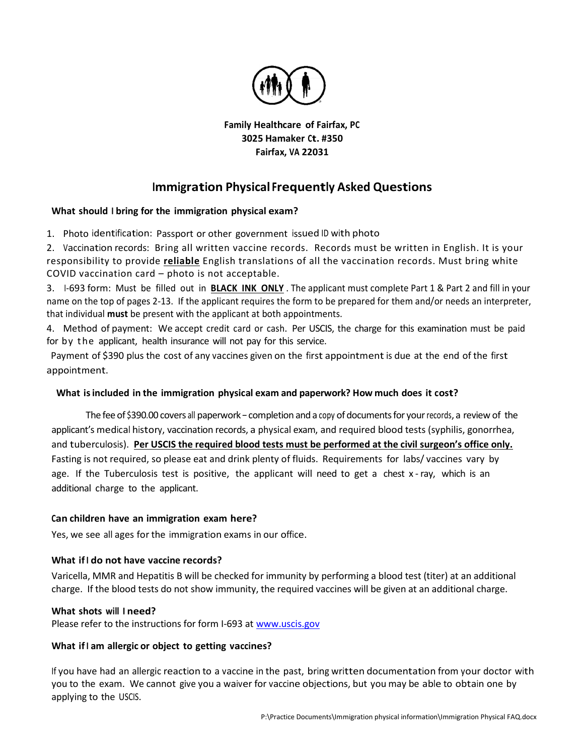

Family Healthcare of Fairfax, PC 3025 Hamaker Ct. #350 Fairfax, VA 22031

# Immigration Physical Frequently Asked Questions

## What should I bring for the immigration physical exam?

1. Photo identification: Passport or other government issued ID with photo

2. Vaccination records: Bring all written vaccine records. Records must be written in English. It is your responsibility to provide *reliable* English translations of all the vaccination records. Must bring white COVID vaccination card – photo is not acceptable.

3. I-693 form: Must be filled out in BLACK INK ONLY . The applicant must complete Part 1 & Part 2 and fill in your name on the top of pages 2-13. If the applicant requires the form to be prepared for them and/or needs an interpreter, that individual must be present with the applicant at both appointments.

4. Method of payment: We accept credit card or cash. Per USCIS, the charge for this examination must be paid for by t he applicant, health insurance will not pay for this service.

 Payment of \$390 plus the cost of any vaccines given on the first appointment is due at the end of the first appointment.

## What is included in the immigration physical exam and paperwork? How much does it cost?

The fee of \$390.00 covers all paperwork – completion and a copy of documents for your records, a review of the applicant's medical history, vaccination records, a physical exam, and required blood tests (syphilis, gonorrhea, and tuberculosis). Per USCIS the required blood tests must be performed at the civil surgeon's office only. Fasting is not required, so please eat and drink plenty of fluids. Requirements for labs/ vaccines vary by age. If the Tuberculosis test is positive, the applicant will need to get a chest x - ray, which is an additional charge to the applicant.

## Can children have an immigration exam here?

Yes, we see all ages for the immigration exams in our office.

## What if I do not have vaccine records?

Varicella, MMR and Hepatitis B will be checked for immunity by performing a blood test (titer) at an additional charge. If the blood tests do not show immunity, the required vaccines will be given at an additional charge.

## What shots will I need?

Please refer to the instructions for form I-693 at www.uscis.gov

## What if I am allergic or object to getting vaccines?

If you have had an allergic reaction to a vaccine in the past, bring written documentation from your doctor with you to the exam. We cannot give you a waiver for vaccine objections, but you may be able to obtain one by applying to the USCIS.